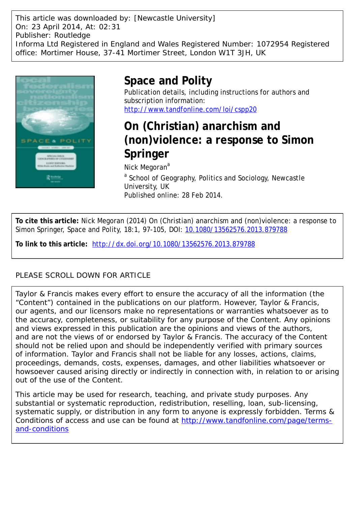This article was downloaded by: [Newcastle University] On: 23 April 2014, At: 02:31 Publisher: Routledge Informa Ltd Registered in England and Wales Registered Number: 1072954 Registered office: Mortimer House, 37-41 Mortimer Street, London W1T 3JH, UK



## **Space and Polity**

Publication details, including instructions for authors and subscription information: <http://www.tandfonline.com/loi/cspp20>

# **On (Christian) anarchism and (non)violence: a response to Simon Springer**

Nick Megoran<sup>a</sup> <sup>a</sup> School of Geography, Politics and Sociology, Newcastle University, UK Published online: 28 Feb 2014.

**To cite this article:** Nick Megoran (2014) On (Christian) anarchism and (non)violence: a response to Simon Springer, Space and Polity, 18:1, 97-105, DOI: [10.1080/13562576.2013.879788](http://www.tandfonline.com/action/showCitFormats?doi=10.1080/13562576.2013.879788)

**To link to this article:** <http://dx.doi.org/10.1080/13562576.2013.879788>

### PLEASE SCROLL DOWN FOR ARTICLE

Taylor & Francis makes every effort to ensure the accuracy of all the information (the "Content") contained in the publications on our platform. However, Taylor & Francis, our agents, and our licensors make no representations or warranties whatsoever as to the accuracy, completeness, or suitability for any purpose of the Content. Any opinions and views expressed in this publication are the opinions and views of the authors, and are not the views of or endorsed by Taylor & Francis. The accuracy of the Content should not be relied upon and should be independently verified with primary sources of information. Taylor and Francis shall not be liable for any losses, actions, claims, proceedings, demands, costs, expenses, damages, and other liabilities whatsoever or howsoever caused arising directly or indirectly in connection with, in relation to or arising out of the use of the Content.

This article may be used for research, teaching, and private study purposes. Any substantial or systematic reproduction, redistribution, reselling, loan, sub-licensing, systematic supply, or distribution in any form to anyone is expressly forbidden. Terms & Conditions of access and use can be found at [http://www.tandfonline.com/page/terms](http://www.tandfonline.com/page/terms-and-conditions)[and-conditions](http://www.tandfonline.com/page/terms-and-conditions)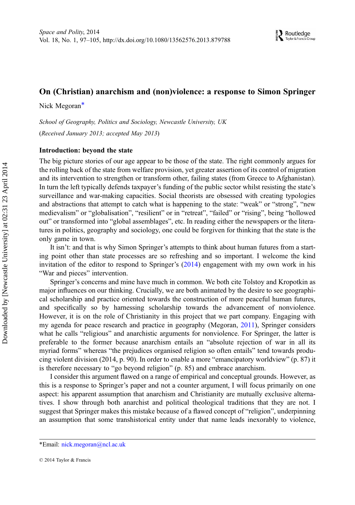### On (Christian) anarchism and (non)violence: a response to Simon Springer

Nick Megoran<sup>\*</sup>

School of Geography, Politics and Sociology, Newcastle University, UK

(Received January 2013; accepted May 2013)

#### Introduction: beyond the state

The big picture stories of our age appear to be those of the state. The right commonly argues for the rolling back of the state from welfare provision, yet greater assertion of its control of migration and its intervention to strengthen or transform other, failing states (from Greece to Afghanistan). In turn the left typically defends taxpayer's funding of the public sector whilst resisting the state's surveillance and war-making capacities. Social theorists are obsessed with creating typologies and abstractions that attempt to catch what is happening to the state: "weak" or "strong", "new medievalism" or "globalisation", "resilient" or in "retreat", "failed" or "rising", being "hollowed out" or transformed into "global assemblages", etc. In reading either the newspapers or the literatures in politics, geography and sociology, one could be forgiven for thinking that the state is the only game in town.

It isn't: and that is why Simon Springer's attempts to think about human futures from a starting point other than state processes are so refreshing and so important. I welcome the kind invitation of the editor to respond to Springer's [\(2014](#page-8-0)) engagement with my own work in his "War and pieces" intervention.

Springer's concerns and mine have much in common. We both cite Tolstoy and Kropotkin as major influences on our thinking. Crucially, we are both animated by the desire to see geographical scholarship and practice oriented towards the construction of more peaceful human futures, and specifically so by harnessing scholarship towards the advancement of nonviolence. However, it is on the role of Christianity in this project that we part company. Engaging with my agenda for peace research and practice in geography (Megoran, [2011](#page-8-0)), Springer considers what he calls "religious" and anarchistic arguments for nonviolence. For Springer, the latter is preferable to the former because anarchism entails an "absolute rejection of war in all its myriad forms" whereas "the prejudices organised religion so often entails" tend towards producing violent division (2014, p. 90). In order to enable a more "emancipatory worldview" (p. 87) it is therefore necessary to "go beyond religion" (p. 85) and embrace anarchism.

I consider this argument flawed on a range of empirical and conceptual grounds. However, as this is a response to Springer's paper and not a counter argument, I will focus primarily on one aspect: his apparent assumption that anarchism and Christianity are mutually exclusive alternatives. I show through both anarchist and political theological traditions that they are not. I suggest that Springer makes this mistake because of a flawed concept of "religion", underpinning an assumption that some transhistorical entity under that name leads inexorably to violence,

<sup>\*</sup>Email: [nick.megoran@ncl.ac.uk](mailto:nick.megoran@ncl.ac.uk)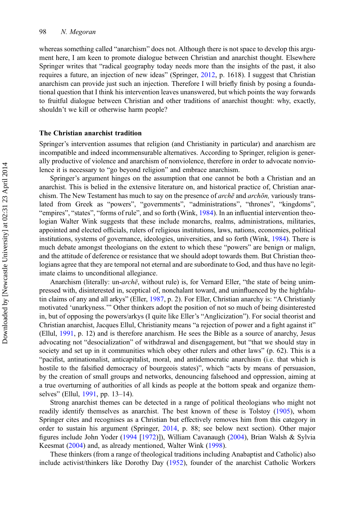whereas something called "anarchism" does not. Although there is not space to develop this argument here, I am keen to promote dialogue between Christian and anarchist thought. Elsewhere Springer writes that "radical geography today needs more than the insights of the past, it also requires a future, an injection of new ideas" (Springer, [2012](#page-9-0), p. 1618). I suggest that Christian anarchism can provide just such an injection. Therefore I will briefly finish by posing a foundational question that I think his intervention leaves unanswered, but which points the way forwards to fruitful dialogue between Christian and other traditions of anarchist thought: why, exactly, shouldn't we kill or otherwise harm people?

#### The Christian anarchist tradition

Springer's intervention assumes that religion (and Christianity in particular) and anarchism are incompatible and indeed incommensurable alternatives. According to Springer, religion is generally productive of violence and anarchism of nonviolence, therefore in order to advocate nonviolence it is necessary to "go beyond religion" and embrace anarchism.

Springer's argument hinges on the assumption that one cannot be both a Christian and an anarchist. This is belied in the extensive literature on, and historical practice of, Christian anarchism. The New Testament has much to say on the presence of *arch* $\bar{e}$  and *archon*, variously translated from Greek as "powers", "governments", "administrations", "thrones", "kingdoms", "empires", "states", "forms of rule", and so forth (Wink, [1984\)](#page-9-0). In an influential intervention theologian Walter Wink suggests that these include monarchs, realms, administrations, militaries, appointed and elected officials, rulers of religious institutions, laws, nations, economies, political institutions, systems of governance, ideologies, universities, and so forth (Wink, [1984\)](#page-9-0). There is much debate amongst theologians on the extent to which these "powers" are benign or malign, and the attitude of deference or resistance that we should adopt towards them. But Christian theologians agree that they are temporal not eternal and are subordinate to God, and thus have no legitimate claims to unconditional allegiance.

Anarchism (literally: un-*archē*, without rule) is, for Vernard Eller, "the state of being unimpressed with, disinterested in, sceptical of, nonchalant toward, and uninfluenced by the highfalutin claims of any and all arkys" (Eller, [1987,](#page-8-0) p. 2). For Eller, Christian anarchy is: "A Christianly motivated 'unarkyness.'" Other thinkers adopt the position of not so much of being disinterested in, but of opposing the powers/arkys (I quite like Eller's "Anglicization"). For social theorist and Christian anarchist, Jacques Ellul, Christianity means "a rejection of power and a fight against it" (Ellul, [1991,](#page-8-0) p. 12) and is therefore anarchism. He sees the Bible as a source of anarchy, Jesus advocating not "desocialization" of withdrawal and disengagement, but "that we should stay in society and set up in it communities which obey other rulers and other laws" (p. 62). This is a "pacifist, antinationalist, anticapitalist, moral, and antidemocratic anarchism (i.e. that which is hostile to the falsified democracy of bourgeois states)", which "acts by means of persuasion, by the creation of small groups and networks, denouncing falsehood and oppression, aiming at a true overturning of authorities of all kinds as people at the bottom speak and organize themselves" (Ellul, [1991](#page-8-0), pp. 13–14).

Strong anarchist themes can be detected in a range of political theologians who might not readily identify themselves as anarchist. The best known of these is Tolstoy [\(1905](#page-9-0)), whom Springer cites and recognises as a Christian but effectively removes him from this category in order to sustain his argument (Springer, [2014](#page-9-0), p. 88; see below next section). Other major figures include John Yoder [\(1994](#page-9-0) [\[1972](#page-9-0))]), William Cavanaugh ([2004\)](#page-8-0), Brian Walsh & Sylvia Keesmat [\(2004](#page-9-0)) and, as already mentioned, Walter Wink [\(1998](#page-9-0)).

These thinkers (from a range of theological traditions including Anabaptist and Catholic) also include activist/thinkers like Dorothy Day ([1952\)](#page-8-0), founder of the anarchist Catholic Workers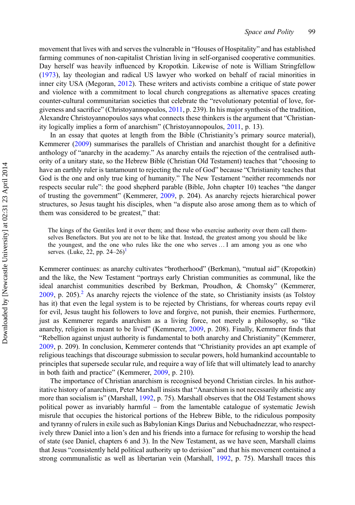movement that lives with and serves the vulnerable in "Houses of Hospitality" and has established farming communes of non-capitalist Christian living in self-organised cooperative communities. Day herself was heavily influenced by Kropotkin. Likewise of note is William Stringfellow ([1973\)](#page-9-0), lay theologian and radical US lawyer who worked on behalf of racial minorities in inner city USA (Megoran, [2012\)](#page-8-0). These writers and activists combine a critique of state power and violence with a commitment to local church congregations as alternative spaces creating counter-cultural communitarian societies that celebrate the "revolutionary potential of love, forgiveness and sacrifice" (Christoyannopoulos, [2011](#page-8-0), p. 239). In his major synthesis of the tradition, Alexandre Christoyannopoulos says what connects these thinkers is the argument that "Christianity logically implies a form of anarchism" (Christoyannopoulos, [2011](#page-8-0), p. 13).

In an essay that quotes at length from the Bible (Christianity's primary source material), Kemmerer ([2009\)](#page-8-0) summarises the parallels of Christian and anarchist thought for a definitive anthology of "anarchy in the academy." As anarchy entails the rejection of the centralised authority of a unitary state, so the Hebrew Bible (Christian Old Testament) teaches that "choosing to have an earthly ruler is tantamount to rejecting the rule of God" because "Christianity teaches that God is the one and only true king of humanity." The New Testament "neither recommends nor respects secular rule": the good shepherd parable (Bible, John chapter 10) teaches "the danger of trusting the government" (Kemmerer, [2009,](#page-8-0) p. 204). As anarchy rejects hierarchical power structures, so Jesus taught his disciples, when "a dispute also arose among them as to which of them was considered to be greatest," that:

The kings of the Gentiles lord it over them; and those who exercise authority over them call themselves Benefactors. But you are not to be like that. Instead, the greatest among you should be like the youngest, and the one who rules like the one who serves … I am among you as one who serves. (Luke, 22, pp.  $24-26$ )<sup>[1](#page-7-0)</sup>

Kemmerer continues: as anarchy cultivates "brotherhood" (Berkman), "mutual aid" (Kropotkin) and the like, the New Testament "portrays early Christian communities as communal, like the ideal anarchist communities described by Berkman, Proudhon, & Chomsky" (Kemmerer, [2009,](#page-8-0) p. [2](#page-7-0)05).<sup>2</sup> As anarchy rejects the violence of the state, so Christianity insists (as Tolstoy has it) that even the legal system is to be rejected by Christians, for whereas courts repay evil for evil, Jesus taught his followers to love and forgive, not punish, their enemies. Furthermore, just as Kemmerer regards anarchism as a living force, not merely a philosophy, so "like anarchy, religion is meant to be lived" (Kemmerer, [2009](#page-8-0), p. 208). Finally, Kemmerer finds that "Rebellion against unjust authority is fundamental to both anarchy and Christianity" (Kemmerer, [2009,](#page-8-0) p. 209). In conclusion, Kemmerer contends that "Christianity provides an apt example of religious teachings that discourage submission to secular powers, hold humankind accountable to principles that supersede secular rule, and require a way of life that will ultimately lead to anarchy in both faith and practice" (Kemmerer, [2009,](#page-8-0) p. 210).

The importance of Christian anarchism is recognised beyond Christian circles. In his authoritative history of anarchism, Peter Marshall insists that "Anarchism is not necessarily atheistic any more than socialism is" (Marshall, [1992,](#page-8-0) p. 75). Marshall observes that the Old Testament shows political power as invariably harmful – from the lamentable catalogue of systematic Jewish misrule that occupies the historical portions of the Hebrew Bible, to the ridiculous pomposity and tyranny of rulers in exile such as Babylonian Kings Darius and Nebuchadnezzar, who respectively threw Daniel into a lion's den and his friends into a furnace for refusing to worship the head of state (see Daniel, chapters 6 and 3). In the New Testament, as we have seen, Marshall claims that Jesus "consistently held political authority up to derision" and that his movement contained a strong communalistic as well as libertarian vein (Marshall, [1992,](#page-8-0) p. 75). Marshall traces this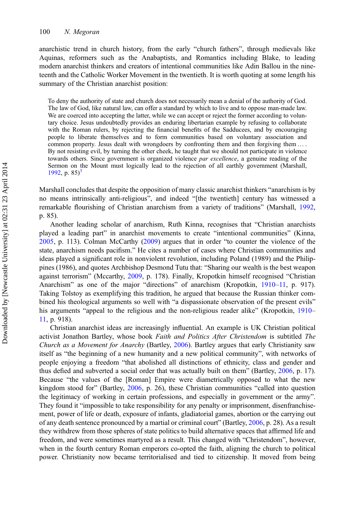anarchistic trend in church history, from the early "church fathers", through medievals like Aquinas, reformers such as the Anabaptists, and Romantics including Blake, to leading modern anarchist thinkers and creators of intentional communities like Adin Ballou in the nineteenth and the Catholic Worker Movement in the twentieth. It is worth quoting at some length his summary of the Christian anarchist position:

To deny the authority of state and church does not necessarily mean a denial of the authority of God. The law of God, like natural law, can offer a standard by which to live and to oppose man-made law. We are coerced into accepting the latter, while we can accept or reject the former according to voluntary choice. Jesus undoubtedly provides an enduring libertarian example by refusing to collaborate with the Roman rulers, by rejecting the financial benefits of the Sadducees, and by encouraging people to liberate themselves and to form communities based on voluntary association and common property. Jesus dealt with wrongdoers by confronting them and then forgiving them .... By not resisting evil, by turning the other cheek, he taught that we should not participate in violence towards others. Since government is organized violence par excellence, a genuine reading of the Sermon on the Mount must logically lead to the rejection of all earthly government (Marshall, [1992,](#page-8-0) p. 85)<sup>[3](#page-8-0)</sup>

Marshall concludes that despite the opposition of many classic anarchist thinkers "anarchism is by no means intrinsically anti-religious", and indeed "[the twentieth] century has witnessed a remarkable flourishing of Christian anarchism from a variety of traditions" (Marshall, [1992](#page-8-0), p. 85).

Another leading scholar of anarchism, Ruth Kinna, recognises that "Christian anarchists played a leading part" in anarchist movements to create "intentional communities" (Kinna, [2005,](#page-8-0) p. 113). Colman McCarthy ([2009\)](#page-8-0) argues that in order "to counter the violence of the state, anarchism needs pacifism." He cites a number of cases where Christian communities and ideas played a significant role in nonviolent revolution, including Poland (1989) and the Philippines (1986), and quotes Archbishop Desmond Tutu that: "Sharing our wealth is the best weapon against terrorism" (Mccarthy, [2009](#page-8-0), p. 178). Finally, Kropotkin himself recognised "Christian Anarchism" as one of the major "directions" of anarchism (Kropotkin, [1910](#page-8-0)–[11,](#page-8-0) p. 917). Taking Tolstoy as exemplifying this tradition, he argued that because the Russian thinker combined his theological arguments so well with "a dispassionate observation of the present evils" his arguments "appeal to the religious and the non-religious reader alike" (Kropotkin, [1910](#page-8-0)– [11](#page-8-0), p. 918).

Christian anarchist ideas are increasingly influential. An example is UK Christian political activist Jonathon Bartley, whose book Faith and Politics After Christendom is subtitled The Church as a Movement for Anarchy (Bartley, [2006\)](#page-8-0). Bartley argues that early Christianity saw itself as "the beginning of a new humanity and a new political community", with networks of people enjoying a freedom "that abolished all distinctions of ethnicity, class and gender and thus defied and subverted a social order that was actually built on them" (Bartley, [2006,](#page-8-0) p. 17). Because "the values of the [Roman] Empire were diametrically opposed to what the new kingdom stood for" (Bartley, [2006](#page-8-0), p. 26), these Christian communities "called into question the legitimacy of working in certain professions, and especially in government or the army". They found it "impossible to take responsibility for any penalty or imprisonment, disenfranchisement, power of life or death, exposure of infants, gladiatorial games, abortion or the carrying out of any death sentence pronounced by a martial or criminal court" (Bartley, [2006](#page-8-0), p. 28). As a result they withdrew from those spheres of state politics to build alternative spaces that affirmed life and freedom, and were sometimes martyred as a result. This changed with "Christendom", however, when in the fourth century Roman emperors co-opted the faith, aligning the church to political power. Christianity now became territorialised and tied to citizenship. It moved from being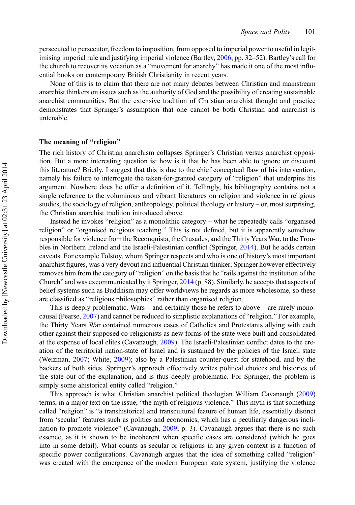persecuted to persecutor, freedom to imposition, from opposed to imperial power to useful in legitimising imperial rule and justifying imperial violence (Bartley, [2006](#page-8-0), pp. 32–52). Bartley's call for the church to recover its vocation as a "movement for anarchy" has made it one of the most influential books on contemporary British Christianity in recent years.

None of this is to claim that there are not many debates between Christian and mainstream anarchist thinkers on issues such as the authority of God and the possibility of creating sustainable anarchist communities. But the extensive tradition of Christian anarchist thought and practice demonstrates that Springer's assumption that one cannot be both Christian and anarchist is untenable.

#### The meaning of "religion"

The rich history of Christian anarchism collapses Springer's Christian versus anarchist opposition. But a more interesting question is: how is it that he has been able to ignore or discount this literature? Briefly, I suggest that this is due to the chief conceptual flaw of his intervention, namely his failure to interrogate the taken-for-granted category of "religion" that underpins his argument. Nowhere does he offer a definition of it. Tellingly, his bibliography contains not a single reference to the voluminous and vibrant literatures on religion and violence in religious studies, the sociology of religion, anthropology, political theology or history – or, most surprising, the Christian anarchist tradition introduced above.

Instead he invokes "religion" as a monolithic category – what he repeatedly calls "organised religion" or "organised religious teaching." This is not defined, but it is apparently somehow responsible for violence from the Reconquista, the Crusades, and the Thirty Years War, to the Troubles in Northern Ireland and the Israeli-Palestinian conflict (Springer, [2014](#page-9-0)). But he adds certain caveats. For example Tolstoy, whom Springer respects and who is one of history's most important anarchist figures, was a very devout and influential Christian thinker; Springer however effectively removes him from the category of "religion" on the basis that he "rails against the institution of the Church" and was excommunicated by it Springer, [2014](#page-9-0) (p. 88). Similarly, he accepts that aspects of belief systems such as Buddhism may offer worldviews he regards as more wholesome, so these are classified as "religious philosophies" rather than organised religion.

This is deeply problematic. Wars – and certainly those he refers to above – are rarely monocausal (Pearse, [2007\)](#page-8-0) and cannot be reduced to simplistic explanations of "religion." For example, the Thirty Years War contained numerous cases of Catholics and Protestants allying with each other against their supposed co-religionists as new forms of the state were built and consolidated at the expense of local elites (Cavanaugh, [2009\)](#page-8-0). The Israeli-Palestinian conflict dates to the creation of the territorial nation-state of Israel and is sustained by the policies of the Israeli state (Weizman, [2007](#page-9-0); White, [2009](#page-9-0)); also by a Palestinian counter-quest for statehood, and by the backers of both sides. Springer's approach effectively writes political choices and histories of the state out of the explanation, and is thus deeply problematic. For Springer, the problem is simply some ahistorical entity called "religion."

This approach is what Christian anarchist political theologian William Cavanaugh [\(2009](#page-8-0)) terms, in a major text on the issue, "the myth of religious violence." This myth is that something called "religion" is "a transhistorical and transcultural feature of human life, essentially distinct from 'secular' features such as politics and economics, which has a peculiarly dangerous inclination to promote violence" (Cavanaugh, [2009](#page-8-0), p. 3). Cavanaugh argues that there is no such essence, as it is shown to be incoherent when specific cases are considered (which he goes into in some detail). What counts as secular or religious in any given context is a function of specific power configurations. Cavanaugh argues that the idea of something called "religion" was created with the emergence of the modern European state system, justifying the violence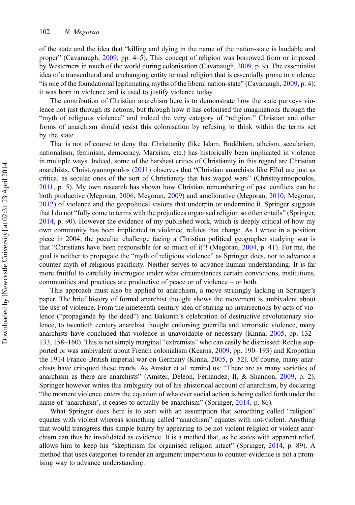of the state and the idea that "killing and dying in the name of the nation-state is laudable and proper" (Cavanaugh, [2009](#page-8-0), pp. 4–5). This concept of religion was borrowed from or imposed by Westerners in much of the world during colonisation (Cavanaugh, [2009,](#page-8-0) p. 9). The essentialist idea of a transcultural and unchanging entity termed religion that is essentially prone to violence "is one of the foundational legitimating myths of the liberal nation-state" (Cavanaugh, [2009,](#page-8-0) p. 4): it was born in violence and is used to justify violence today.

The contribution of Christian anarchism here is to demonstrate how the state purveys violence not just through its actions, but through how it has colonised the imaginations through the "myth of religious violence" and indeed the very category of "religion." Christian and other forms of anarchism should resist this colonisation by refusing to think within the terms set by the state.

That is not of course to deny that Christianity (like Islam, Buddhism, atheism, secularism, nationalism, feminism, democracy, Marxism, etc.) has historically been implicated in violence in multiple ways. Indeed, some of the harshest critics of Christianity in this regard are Christian anarchists. Christoyannopoulos ([2011\)](#page-8-0) observes that "Christian anarchists like Ellul are just as critical as secular ones of the sort of Christianity that has waged wars" (Christoyannopoulos, [2011](#page-8-0), p. 5). My own research has shown how Christian remembering of past conflicts can be both productive (Megoran, [2006;](#page-8-0) Megoran, [2009](#page-8-0)) and ameliorative (Megoran, [2010](#page-8-0); Megoran, [2012\)](#page-8-0) of violence and the geopolitical visions that underpin or undermine it. Springer suggests that I do not "fully come to terms with the prejudices organised religion so often entails" (Springer, [2014,](#page-9-0) p. 90). However the evidence of my published work, which is deeply critical of how my own community has been implicated in violence, refutes that charge. As I wrote in a position piece in 2004, the peculiar challenge facing a Christian political geographer studying war is that "Christians have been responsible for so much of it"! (Megoran, [2004,](#page-8-0) p. 41). For me, the goal is neither to propagate the "myth of religious violence" as Springer does, nor to advance a counter myth of religious pacificity. Neither serves to advance human understanding. It is far more fruitful to carefully interrogate under what circumstances certain convictions, institutions, communities and practices are productive of peace or of violence – or both.

This approach must also be applied to anarchism, a move strikingly lacking in Springer's paper. The brief history of formal anarchist thought shows the movement is ambivalent about the use of violence. From the nineteenth century idea of stirring up insurrections by acts of violence ("propaganda by the deed") and Bakunin's celebration of destructive revolutionary violence, to twentieth century anarchist thought endorsing guerrilla and terroristic violence, many anarchists have concluded that violence is unavoidable or necessary (Kinna, [2005](#page-8-0), pp. 132– 133, 158–160). This is not simply marginal "extremists" who can easily be dismissed: Reclus supported or was ambivalent about French colonialism (Kearns, [2009](#page-8-0), pp. 190–193) and Kropotkin the 1914 Franco-British imperial war on Germany (Kinna, [2005](#page-8-0), p. 52). Of course, many anarchists have critiqued these trends. As Amster et al. remind us: "There are as many varieties of anarchism as there are anarchists" (Amster, Deleon, Fernandez, Il, & Shannon, [2009](#page-8-0), p. 2). Springer however writes this ambiguity out of his ahistorical account of anarchism, by declaring "the moment violence enters the equation of whatever social action is being called forth under the name of 'anarchism', it ceases to actually be anarchism" (Springer, [2014,](#page-9-0) p. 86).

What Springer does here is to start with an assumption that something called "religion" equates with violent whereas something called "anarchism" equates with not-violent. Anything that would transgress this simple binary by appearing to be not-violent religion or violent anarchism can thus be invalidated as evidence. It is a method that, as he states with apparent relief, allows him to keep his "skepticism for organised religion intact" (Springer, [2014](#page-9-0), p. 89). A method that uses categories to render an argument impervious to counter-evidence is not a promising way to advance understanding.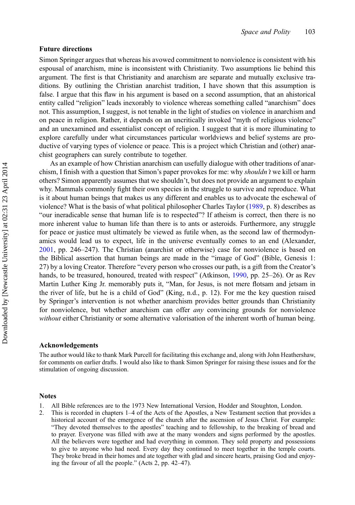#### <span id="page-7-0"></span>Future directions

Simon Springer argues that whereas his avowed commitment to nonviolence is consistent with his espousal of anarchism, mine is inconsistent with Christianity. Two assumptions lie behind this argument. The first is that Christianity and anarchism are separate and mutually exclusive traditions. By outlining the Christian anarchist tradition, I have shown that this assumption is false. I argue that this flaw in his argument is based on a second assumption, that an ahistorical entity called "religion" leads inexorably to violence whereas something called "anarchism" does not. This assumption, I suggest, is not tenable in the light of studies on violence in anarchism and on peace in religion. Rather, it depends on an uncritically invoked "myth of religious violence" and an unexamined and essentialist concept of religion. I suggest that it is more illuminating to explore carefully under what circumstances particular worldviews and belief systems are productive of varying types of violence or peace. This is a project which Christian and (other) anarchist geographers can surely contribute to together.

As an example of how Christian anarchism can usefully dialogue with other traditions of anarchism, I finish with a question that Simon's paper provokes for me: why *shouldn't* we kill or harm others? Simon apparently assumes that we shouldn't, but does not provide an argument to explain why. Mammals commonly fight their own species in the struggle to survive and reproduce. What is it about human beings that makes us any different and enables us to advocate the eschewal of violence? What is the basis of what political philosopher Charles Taylor [\(1989](#page-9-0), p. 8) describes as "our ineradicable sense that human life is to respected"? If atheism is correct, then there is no more inherent value to human life than there is to ants or asteroids. Furthermore, any struggle for peace or justice must ultimately be viewed as futile when, as the second law of thermodynamics would lead us to expect, life in the universe eventually comes to an end (Alexander, [2001,](#page-8-0) pp. 246–247). The Christian (anarchist or otherwise) case for nonviolence is based on the Biblical assertion that human beings are made in the "image of God" (Bible, Genesis 1: 27) by a loving Creator. Therefore "every person who crosses our path, is a gift from the Creator's hands, to be treasured, honoured, treated with respect" (Atkinson, [1990,](#page-8-0) pp. 25–26). Or as Rev Martin Luther King Jr. memorably puts it, "Man, for Jesus, is not mere flotsam and jetsam in the river of life, but he is a child of God" (King, n.d., p. 12). For me the key question raised by Springer's intervention is not whether anarchism provides better grounds than Christianity for nonviolence, but whether anarchism can offer *any* convincing grounds for nonviolence without either Christianity or some alternative valorisation of the inherent worth of human being.

#### Acknowledgements

The author would like to thank Mark Purcell for facilitating this exchange and, along with John Heathershaw, for comments on earlier drafts. I would also like to thank Simon Springer for raising these issues and for the stimulation of ongoing discussion.

#### **Notes**

- 1. All Bible references are to the 1973 New International Version, Hodder and Stoughton, London.
- 2. This is recorded in chapters 1–4 of the Acts of the Apostles, a New Testament section that provides a historical account of the emergence of the church after the ascension of Jesus Christ. For example: "They devoted themselves to the apostles" teaching and to fellowship, to the breaking of bread and to prayer. Everyone was filled with awe at the many wonders and signs performed by the apostles. All the believers were together and had everything in common. They sold property and possessions to give to anyone who had need. Every day they continued to meet together in the temple courts. They broke bread in their homes and ate together with glad and sincere hearts, praising God and enjoying the favour of all the people." (Acts 2, pp. 42–47).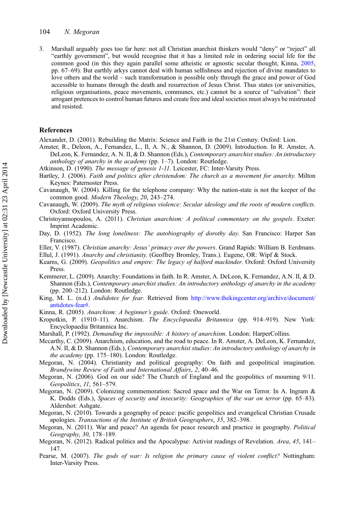#### <span id="page-8-0"></span>104 N. Megoran

3. Marshall arguably goes too far here: not all Christian anarchist thinkers would "deny" or "reject" all "earthly government", but would recognise that it has a limited role in ordering social life for the common good (in this they again parallel some atheistic or agnostic secular thought, Kinna, 2005, pp. 67–69). But earthly arkys cannot deal with human selfishness and rejection of divine mandates to love others and the world – such transformation is possible only through the grace and power of God accessible to humans through the death and resurrection of Jesus Christ. Thus states (or universities, religious organisations, peace movements, communes, etc.) cannot be a source of "salvation": their arrogant pretences to control human futures and create free and ideal societies must always be mistrusted and resisted.

#### References

Alexander, D. (2001). Rebuilding the Matrix: Science and Faith in the 21st Century. Oxford: Lion.

Amster, R., Deleon, A., Fernandez, L., Il, A. N., & Shannon, D. (2009). Introduction. In R. Amster, A. DeLeon, K. Fernandez, A. N. II, & D. Shannon (Eds.), Contemporary anarchist studies: An introductory anthology of anarchy in the academy (pp.  $1-7$ ). London: Routledge.

Atkinson, D. (1990). The message of genesis 1-11. Leicester, FC: Inter-Varsity Press.

- Bartley, J. (2006). Faith and politics after christendom: The church as a movement for anarchy. Milton Keynes: Paternoster Press.
- Cavanaugh, W. (2004). Killing for the telephone company: Why the nation-state is not the keeper of the common good. Modern Theology, 20, 243–274.
- Cavanaugh, W. (2009). The myth of religious violence: Secular ideology and the roots of modern conflicts. Oxford: Oxford University Press.
- Christoyannopoulos, A. (2011). Christian anarchism: A political commentary on the gospels. Exeter: Imprint Academic.
- Day, D. (1952). The long loneliness: The autobiography of dorothy day. San Francisco: Harper San Francisco.
- Eller, V. (1987). Christian anarchy: Jesus' primacy over the powers. Grand Rapids: William B. Eerdmans.
- Ellul, J. (1991). Anarchy and christianity. (Geoffrey Bromley, Trans.). Eugene, OR: Wipf & Stock.
- Kearns, G. (2009). Geopolitics and empire: The legacy of halford mackinder. Oxford: Oxford University Press.
- Kemmerer, L. (2009). Anarchy: Foundations in faith. In R. Amster, A. DeLeon, K. Fernandez, A.N. II, & D. Shannon (Eds.), Contemporary anarchist studies: An introductory anthology of anarchy in the academy (pp. 200–212). London: Routledge.
- King, M. L. (n.d.) *Andidotes for fear*. Retrieved from [http://www.thekingcenter.org/archive/document/](http://www.thekingcenter.org/archive/document/antidotes-fear#) [antidotes-fear#.](http://www.thekingcenter.org/archive/document/antidotes-fear#)
- Kinna, R. (2005). Anarchism: A beginner's guide. Oxford: Oneworld.
- Kropotkin, P. (1910–11). Anarchism. The Encyclopaedia Britannica (pp. 914–919). New York: Encyclopaedia Britannica Inc.
- Marshall, P. (1992). *Demanding the impossible: A history of anarchism*. London: HarperCollins.
- Mccarthy, C. (2009). Anarchism, education, and the road to peace. In R. Amster, A. DeLeon, K. Fernandez, A.N. II, & D. Shannon (Eds.), Contemporary anarchist studies: An introductory anthology of anarchy in the academy (pp. 175–180). London: Routledge.
- Megoran, N. (2004). Christianity and political geography: On faith and geopolitical imagination. Brandywine Review of Faith and International Affairs, 2, 40–46.
- Megoran, N. (2006). God on our side? The Church of England and the geopolitics of mourning 9/11. Geopolitics, 11, 561–579.
- Megoran, N. (2009). Colonizing commemoration: Sacred space and the War on Terror. In A. Ingram & K. Dodds (Eds.), Spaces of security and insecurity: Geographies of the war on terror (pp. 65–83). Aldershot: Ashgate.
- Megoran, N. (2010). Towards a geography of peace: pacific geopolitics and evangelical Christian Crusade apologies. Transactions of the Institute of British Geographers, 35, 382–398.
- Megoran, N. (2011). War and peace? An agenda for peace research and practice in geography. Political Geography, 30, 178–189.
- Megoran, N. (2012). Radical politics and the Apocalypse: Activist readings of Revelation. Area, 45, 141– 147.
- Pearse, M. (2007). The gods of war: Is religion the primary cause of violent conflict? Nottingham: Inter-Varsity Press.